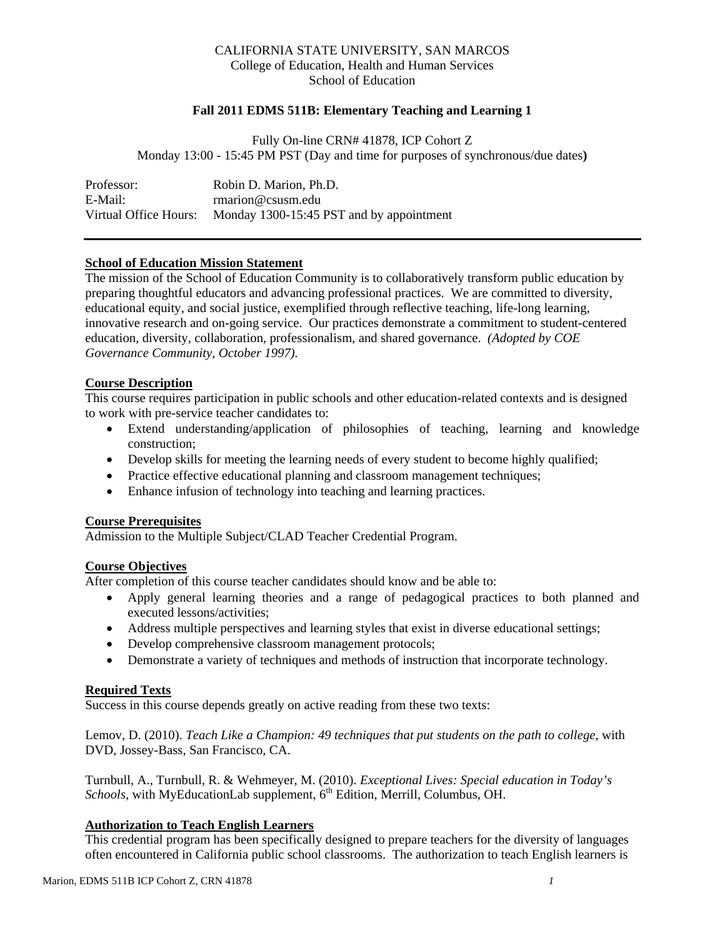## CALIFORNIA STATE UNIVERSITY, SAN MARCOS College of Education, Health and Human Services School of Education

## **Fall 2011 EDMS 511B: Elementary Teaching and Learning 1**

Fully On-line CRN# 41878, ICP Cohort Z Monday 13:00 - 15:45 PM PST (Day and time for purposes of synchronous/due dates**)** 

| Professor:            | Robin D. Marion, Ph.D.                   |
|-----------------------|------------------------------------------|
| E-Mail:               | rmarion@csusm.edu                        |
| Virtual Office Hours: | Monday 1300-15:45 PST and by appointment |

# **School of Education Mission Statement**

The mission of the School of Education Community is to collaboratively transform public education by preparing thoughtful educators and advancing professional practices. We are committed to diversity, educational equity, and social justice, exemplified through reflective teaching, life-long learning, innovative research and on-going service. Our practices demonstrate a commitment to student-centered education, diversity, collaboration, professionalism, and shared governance. *(Adopted by COE Governance Community, October 1997).* 

#### **Course Description**

This course requires participation in public schools and other education-related contexts and is designed to work with pre-service teacher candidates to:

- Extend understanding/application of philosophies of teaching, learning and knowledge construction;
- Develop skills for meeting the learning needs of every student to become highly qualified;
- Practice effective educational planning and classroom management techniques;
- Enhance infusion of technology into teaching and learning practices.

### **Course Prerequisites**

Admission to the Multiple Subject/CLAD Teacher Credential Program.

# **Course Objectives**

After completion of this course teacher candidates should know and be able to:

- Apply general learning theories and a range of pedagogical practices to both planned and executed lessons/activities;
- Address multiple perspectives and learning styles that exist in diverse educational settings;
- Develop comprehensive classroom management protocols;
- Demonstrate a variety of techniques and methods of instruction that incorporate technology.

## **Required Texts**

Success in this course depends greatly on active reading from these two texts:

Lemov, D. (2010). *Teach Like a Champion: 49 techniques that put students on the path to college*, with DVD, Jossey-Bass, San Francisco, CA.

Turnbull, A., Turnbull, R. & Wehmeyer, M. (2010). *Exceptional Lives: Special education in Today's Schools,* with MyEducationLab supplement, 6<sup>th</sup> Edition, Merrill, Columbus, OH.

# **Authorization to Teach English Learners**

This credential program has been specifically designed to prepare teachers for the diversity of languages often encountered in California public school classrooms. The authorization to teach English learners is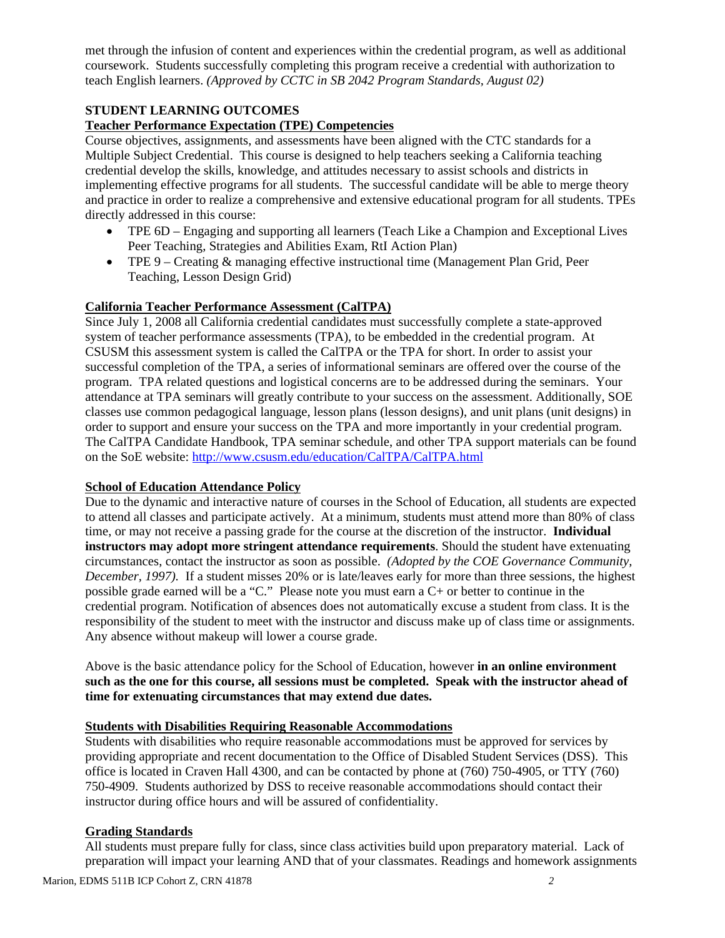met through the infusion of content and experiences within the credential program, as well as additional coursework. Students successfully completing this program receive a credential with authorization to teach English learners. *(Approved by CCTC in SB 2042 Program Standards, August 02)* 

# **STUDENT LEARNING OUTCOMES**

## **Teacher Performance Expectation (TPE) Competencies**

Course objectives, assignments, and assessments have been aligned with the CTC standards for a Multiple Subject Credential. This course is designed to help teachers seeking a California teaching credential develop the skills, knowledge, and attitudes necessary to assist schools and districts in implementing effective programs for all students. The successful candidate will be able to merge theory and practice in order to realize a comprehensive and extensive educational program for all students. TPEs directly addressed in this course:

- Peer Teaching, Strategies and Abilities Exam, RtI Action Plan) TPE 6D – Engaging and supporting all learners (Teach Like a Champion and Exceptional Lives
- TPE 9 Creating & managing effective instructional time (Management Plan Grid, Peer Teaching, Lesson Design Grid)

# **California Teacher Performance Assessment (CalTPA)**

Since July 1, 2008 all California credential candidates must successfully complete a state-approved system of teacher performance assessments (TPA), to be embedded in the credential program. At CSUSM this assessment system is called the CalTPA or the TPA for short. In order to assist your successful completion of the TPA, a series of informational seminars are offered over the course of the program. TPA related questions and logistical concerns are to be addressed during the seminars. Your attendance at TPA seminars will greatly contribute to your success on the assessment. Additionally, SOE classes use common pedagogical language, lesson plans (lesson designs), and unit plans (unit designs) in order to support and ensure your success on the TPA and more importantly in your credential program. The CalTPA Candidate Handbook, TPA seminar schedule, and other TPA support materials can be found on the SoE website: http://www.csusm.edu/education/CalTPA/CalTPA.html

## **School of Education Attendance Policy**

Due to the dynamic and interactive nature of courses in the School of Education, all students are expected to attend all classes and participate actively. At a minimum, students must attend more than 80% of class time, or may not receive a passing grade for the course at the discretion of the instructor. **Individual instructors may adopt more stringent attendance requirements**. Should the student have extenuating circumstances, contact the instructor as soon as possible. *(Adopted by the COE Governance Community, December, 1997*). If a student misses 20% or is late/leaves early for more than three sessions, the highest possible grade earned will be a "C." Please note you must earn a C+ or better to continue in the credential program. Notification of absences does not automatically excuse a student from class. It is the responsibility of the student to meet with the instructor and discuss make up of class time or assignments. Any absence without makeup will lower a course grade.

Above is the basic attendance policy for the School of Education, however **in an online environment such as the one for this course, all sessions must be completed. Speak with the instructor ahead of time for extenuating circumstances that may extend due dates.** 

# **Students with Disabilities Requiring Reasonable Accommodations**

Students with disabilities who require reasonable accommodations must be approved for services by providing appropriate and recent documentation to the Office of Disabled Student Services (DSS). This office is located in Craven Hall 4300, and can be contacted by phone at (760) 750-4905, or TTY (760) 750-4909. Students authorized by DSS to receive reasonable accommodations should contact their instructor during office hours and will be assured of confidentiality.

## **Grading Standards**

All students must prepare fully for class, since class activities build upon preparatory material. Lack of preparation will impact your learning AND that of your classmates. Readings and homework assignments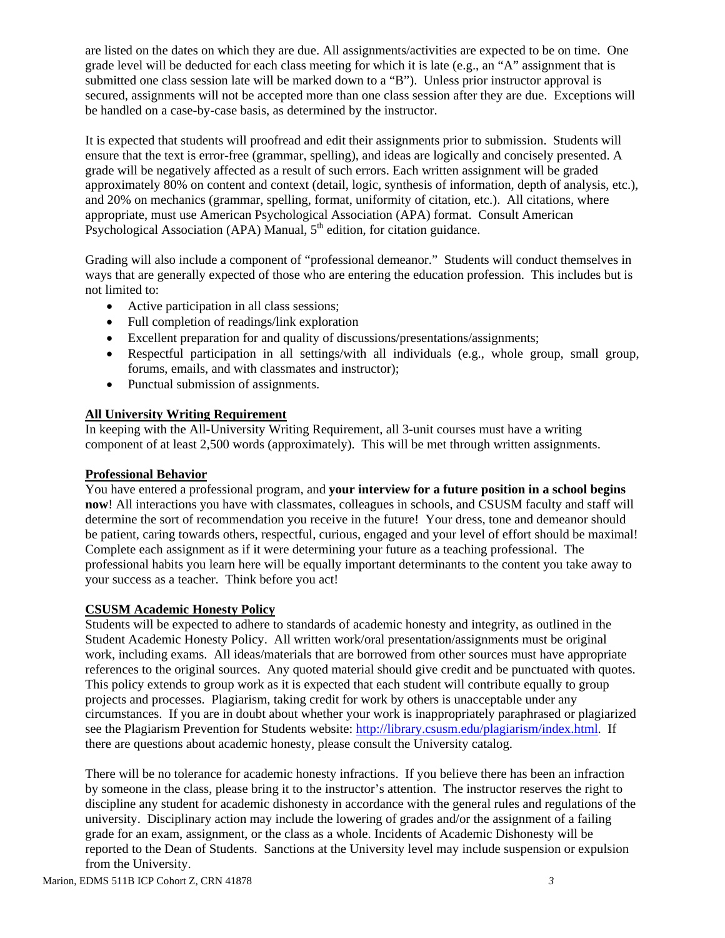are listed on the dates on which they are due. All assignments/activities are expected to be on time. One grade level will be deducted for each class meeting for which it is late (e.g., an "A" assignment that is submitted one class session late will be marked down to a "B"). Unless prior instructor approval is secured, assignments will not be accepted more than one class session after they are due. Exceptions will be handled on a case-by-case basis, as determined by the instructor.

It is expected that students will proofread and edit their assignments prior to submission. Students will ensure that the text is error-free (grammar, spelling), and ideas are logically and concisely presented. A grade will be negatively affected as a result of such errors. Each written assignment will be graded approximately 80% on content and context (detail, logic, synthesis of information, depth of analysis, etc.), and 20% on mechanics (grammar, spelling, format, uniformity of citation, etc.). All citations, where appropriate, must use American Psychological Association (APA) format. Consult American Psychological Association (APA) Manual,  $5<sup>th</sup>$  edition, for citation guidance.

Grading will also include a component of "professional demeanor." Students will conduct themselves in ways that are generally expected of those who are entering the education profession. This includes but is not limited to:

- Active participation in all class sessions;
- Full completion of readings/link exploration
- Excellent preparation for and quality of discussions/presentations/assignments;
- Respectful participation in all settings/with all individuals (e.g., whole group, small group, forums, emails, and with classmates and instructor);
- Punctual submission of assignments.

## **All University Writing Requirement**

In keeping with the All-University Writing Requirement, all 3-unit courses must have a writing component of at least 2,500 words (approximately). This will be met through written assignments.

## **Professional Behavior**

You have entered a professional program, and **your interview for a future position in a school begins now**! All interactions you have with classmates, colleagues in schools, and CSUSM faculty and staff will determine the sort of recommendation you receive in the future! Your dress, tone and demeanor should be patient, caring towards others, respectful, curious, engaged and your level of effort should be maximal! Complete each assignment as if it were determining your future as a teaching professional. The professional habits you learn here will be equally important determinants to the content you take away to your success as a teacher. Think before you act!

## **CSUSM Academic Honesty Policy**

Students will be expected to adhere to standards of academic honesty and integrity, as outlined in the Student Academic Honesty Policy. All written work/oral presentation/assignments must be original work, including exams. All ideas/materials that are borrowed from other sources must have appropriate references to the original sources. Any quoted material should give credit and be punctuated with quotes. This policy extends to group work as it is expected that each student will contribute equally to group projects and processes. Plagiarism, taking credit for work by others is unacceptable under any circumstances. If you are in doubt about whether your work is inappropriately paraphrased or plagiarized see the Plagiarism Prevention for Students website: http://library.csusm.edu/plagiarism/index.html. If there are questions about academic honesty, please consult the University catalog.

There will be no tolerance for academic honesty infractions. If you believe there has been an infraction by someone in the class, please bring it to the instructor's attention. The instructor reserves the right to discipline any student for academic dishonesty in accordance with the general rules and regulations of the university. Disciplinary action may include the lowering of grades and/or the assignment of a failing grade for an exam, assignment, or the class as a whole. Incidents of Academic Dishonesty will be reported to the Dean of Students. Sanctions at the University level may include suspension or expulsion from the University.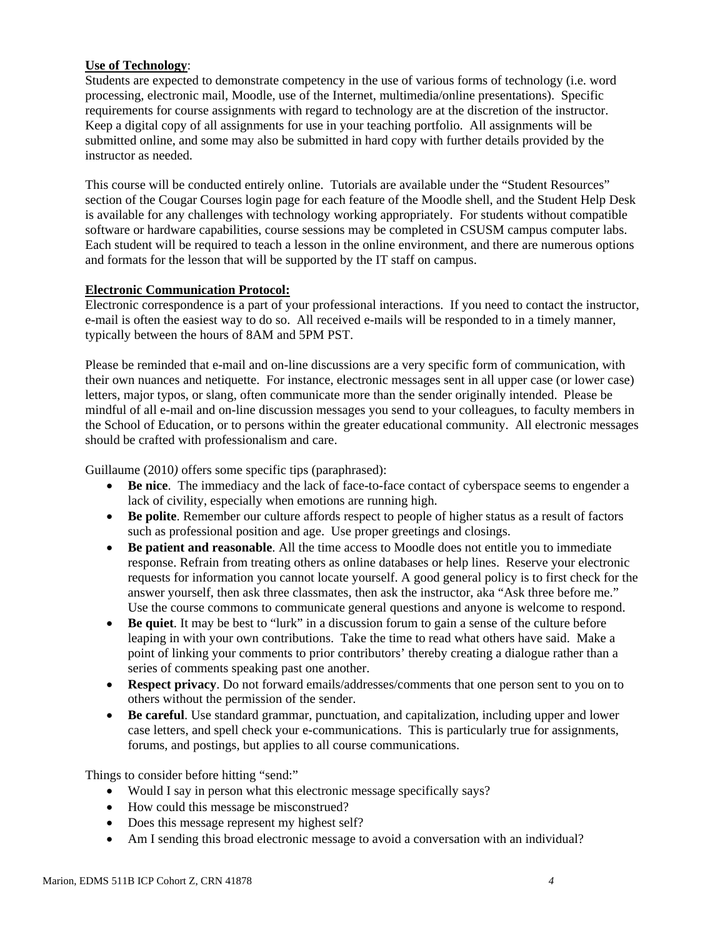# **Use of Technology**:

Students are expected to demonstrate competency in the use of various forms of technology (i.e. word processing, electronic mail, Moodle, use of the Internet, multimedia/online presentations). Specific requirements for course assignments with regard to technology are at the discretion of the instructor. Keep a digital copy of all assignments for use in your teaching portfolio. All assignments will be submitted online, and some may also be submitted in hard copy with further details provided by the instructor as needed.

This course will be conducted entirely online. Tutorials are available under the "Student Resources" section of the Cougar Courses login page for each feature of the Moodle shell, and the Student Help Desk is available for any challenges with technology working appropriately. For students without compatible software or hardware capabilities, course sessions may be completed in CSUSM campus computer labs. Each student will be required to teach a lesson in the online environment, and there are numerous options and formats for the lesson that will be supported by the IT staff on campus.

# **Electronic Communication Protocol:**

Electronic correspondence is a part of your professional interactions. If you need to contact the instructor, e-mail is often the easiest way to do so. All received e-mails will be responded to in a timely manner, typically between the hours of 8AM and 5PM PST.

Please be reminded that e-mail and on-line discussions are a very specific form of communication, with their own nuances and netiquette. For instance, electronic messages sent in all upper case (or lower case) letters, major typos, or slang, often communicate more than the sender originally intended. Please be mindful of all e-mail and on-line discussion messages you send to your colleagues, to faculty members in the School of Education, or to persons within the greater educational community. All electronic messages should be crafted with professionalism and care.

Guillaume (2010*)* offers some specific tips (paraphrased):

- **Be nice**. The immediacy and the lack of face-to-face contact of cyberspace seems to engender a lack of civility, especially when emotions are running high.
- **Be polite**. Remember our culture affords respect to people of higher status as a result of factors such as professional position and age. Use proper greetings and closings.
- answer yourself, then ask three classmates, then ask the instructor, aka "Ask three before me." **Be patient and reasonable**. All the time access to Moodle does not entitle you to immediate response. Refrain from treating others as online databases or help lines. Reserve your electronic requests for information you cannot locate yourself. A good general policy is to first check for the Use the course commons to communicate general questions and anyone is welcome to respond.
- **Be quiet**. It may be best to "lurk" in a discussion forum to gain a sense of the culture before leaping in with your own contributions. Take the time to read what others have said. Make a point of linking your comments to prior contributors' thereby creating a dialogue rather than a series of comments speaking past one another.
- **Respect privacy**. Do not forward emails/addresses/comments that one person sent to you on to others without the permission of the sender.
- **Be careful**. Use standard grammar, punctuation, and capitalization, including upper and lower case letters, and spell check your e-communications. This is particularly true for assignments, forums, and postings, but applies to all course communications.

Things to consider before hitting "send:"

- Would I say in person what this electronic message specifically says?
- How could this message be misconstrued?
- Does this message represent my highest self?
- Am I sending this broad electronic message to avoid a conversation with an individual?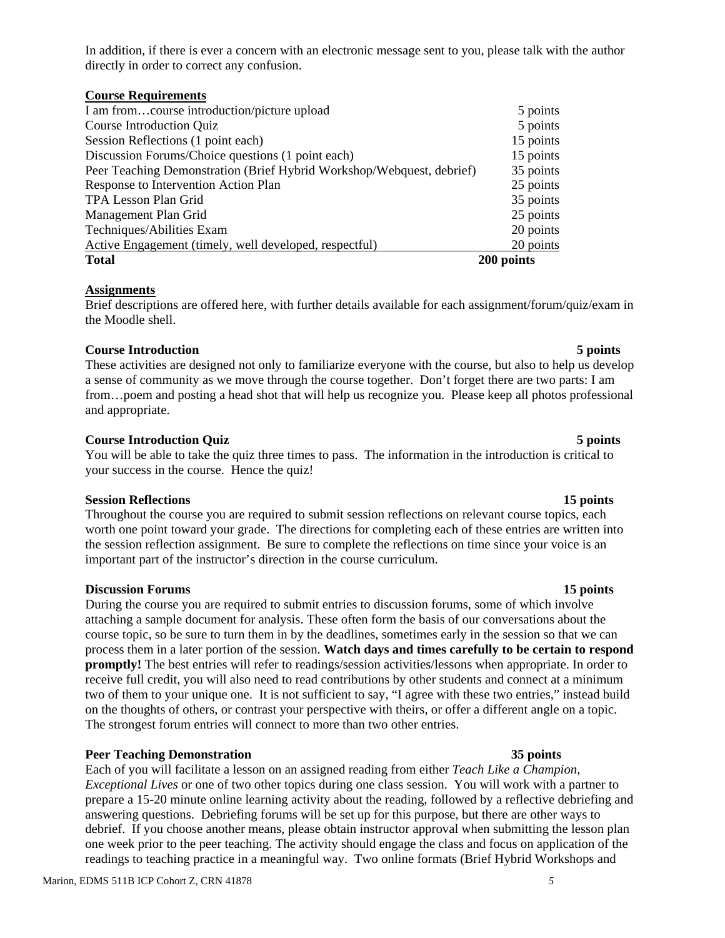In addition, if there is ever a concern with an electronic message sent to you, please talk with the author directly in order to correct any confusion.

| <b>Course Requirements</b>                                            |            |
|-----------------------------------------------------------------------|------------|
| I am fromcourse introduction/picture upload                           | 5 points   |
| <b>Course Introduction Quiz</b>                                       | 5 points   |
| Session Reflections (1 point each)                                    | 15 points  |
| Discussion Forums/Choice questions (1 point each)                     | 15 points  |
| Peer Teaching Demonstration (Brief Hybrid Workshop/Webquest, debrief) | 35 points  |
| Response to Intervention Action Plan                                  | 25 points  |
| <b>TPA Lesson Plan Grid</b>                                           | 35 points  |
| Management Plan Grid                                                  | 25 points  |
| Techniques/Abilities Exam                                             | 20 points  |
| Active Engagement (timely, well developed, respectful)                | 20 points  |
| <b>Total</b>                                                          | 200 points |

### **Assignments**

Brief descriptions are offered here, with further details available for each assignment/forum/quiz/exam in the Moodle shell.

### **Course Introduction 5 points**

These activities are designed not only to familiarize everyone with the course, but also to help us develop a sense of community as we move through the course together. Don't forget there are two parts: I am from…poem and posting a head shot that will help us recognize you. Please keep all photos professional and appropriate.

### **Course Introduction Quiz** 5 points **5** points

 You will be able to take the quiz three times to pass. The information in the introduction is critical to your success in the course. Hence the quiz!

#### **Session Reflections 15 points**

 important part of the instructor's direction in the course curriculum. Throughout the course you are required to submit session reflections on relevant course topics, each worth one point toward your grade. The directions for completing each of these entries are written into the session reflection assignment. Be sure to complete the reflections on time since your voice is an

#### **Discussion Forums 15 points**

During the course you are required to submit entries to discussion forums, some of which involve attaching a sample document for analysis. These often form the basis of our conversations about the course topic, so be sure to turn them in by the deadlines, sometimes early in the session so that we can process them in a later portion of the session. **Watch days and times carefully to be certain to respond promptly!** The best entries will refer to readings/session activities/lessons when appropriate. In order to receive full credit, you will also need to read contributions by other students and connect at a minimum two of them to your unique one. It is not sufficient to say, "I agree with these two entries," instead build on the thoughts of others, or contrast your perspective with theirs, or offer a different angle on a topic. The strongest forum entries will connect to more than two other entries.

## **Peer Teaching Demonstration 35 points 35 points**

Each of you will facilitate a lesson on an assigned reading from either *Teach Like a Champion*, *Exceptional Lives* or one of two other topics during one class session. You will work with a partner to prepare a 15-20 minute online learning activity about the reading, followed by a reflective debriefing and answering questions. Debriefing forums will be set up for this purpose, but there are other ways to debrief. If you choose another means, please obtain instructor approval when submitting the lesson plan one week prior to the peer teaching. The activity should engage the class and focus on application of the readings to teaching practice in a meaningful way. Two online formats (Brief Hybrid Workshops and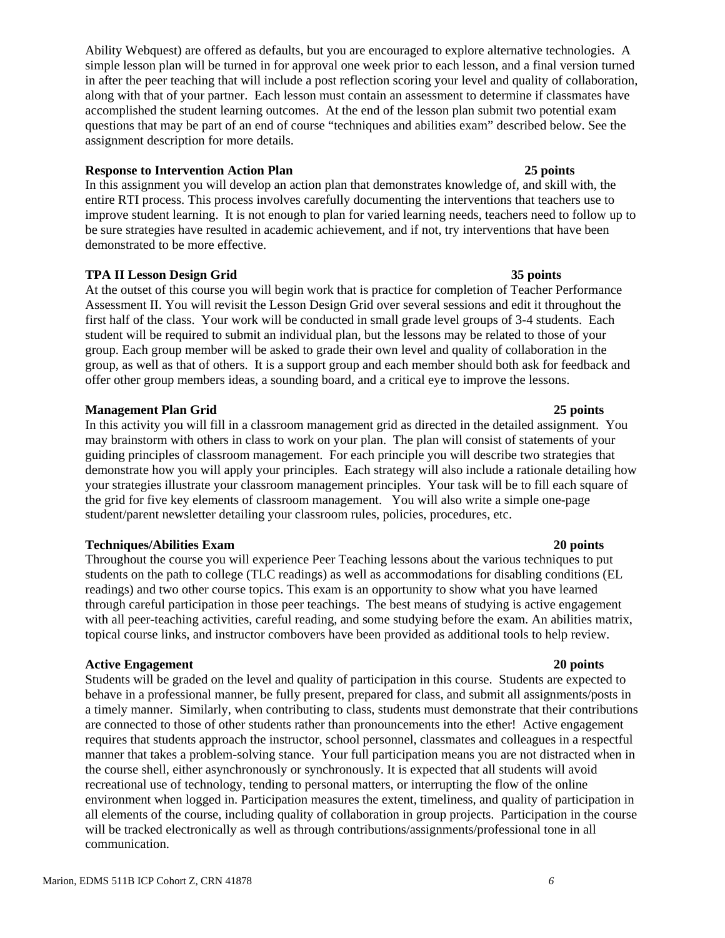Ability Webquest) are offered as defaults, but you are encouraged to explore alternative technologies. A simple lesson plan will be turned in for approval one week prior to each lesson, and a final version turned in after the peer teaching that will include a post reflection scoring your level and quality of collaboration, along with that of your partner. Each lesson must contain an assessment to determine if classmates have accomplished the student learning outcomes. At the end of the lesson plan submit two potential exam questions that may be part of an end of course "techniques and abilities exam" described below. See the assignment description for more details.

## **Response to Intervention Action Plan 25 points**

In this assignment you will develop an action plan that demonstrates knowledge of, and skill with, the entire RTI process. This process involves carefully documenting the interventions that teachers use to improve student learning. It is not enough to plan for varied learning needs, teachers need to follow up to be sure strategies have resulted in academic achievement, and if not, try interventions that have been demonstrated to be more effective.

### **TPA II Lesson Design Grid 35 points**

At the outset of this course you will begin work that is practice for completion of Teacher Performance Assessment II. You will revisit the Lesson Design Grid over several sessions and edit it throughout the first half of the class. Your work will be conducted in small grade level groups of 3-4 students. Each student will be required to submit an individual plan, but the lessons may be related to those of your group. Each group member will be asked to grade their own level and quality of collaboration in the group, as well as that of others. It is a support group and each member should both ask for feedback and offer other group members ideas, a sounding board, and a critical eye to improve the lessons.

## **Management Plan Grid 25 points**

In this activity you will fill in a classroom management grid as directed in the detailed assignment. You may brainstorm with others in class to work on your plan. The plan will consist of statements of your guiding principles of classroom management. For each principle you will describe two strategies that demonstrate how you will apply your principles. Each strategy will also include a rationale detailing how your strategies illustrate your classroom management principles. Your task will be to fill each square of the grid for five key elements of classroom management. You will also write a simple one-page student/parent newsletter detailing your classroom rules, policies, procedures, etc.

#### **Techniques/Abilities Exam 20 points**

Throughout the course you will experience Peer Teaching lessons about the various techniques to put students on the path to college (TLC readings) as well as accommodations for disabling conditions (EL readings) and two other course topics. This exam is an opportunity to show what you have learned through careful participation in those peer teachings. The best means of studying is active engagement with all peer-teaching activities, careful reading, and some studying before the exam. An abilities matrix, topical course links, and instructor combovers have been provided as additional tools to help review.

## **Active Engagement** 20 points **20** points **20** points

Students will be graded on the level and quality of participation in this course. Students are expected to behave in a professional manner, be fully present, prepared for class, and submit all assignments/posts in a timely manner. Similarly, when contributing to class, students must demonstrate that their contributions are connected to those of other students rather than pronouncements into the ether! Active engagement requires that students approach the instructor, school personnel, classmates and colleagues in a respectful manner that takes a problem-solving stance. Your full participation means you are not distracted when in the course shell, either asynchronously or synchronously. It is expected that all students will avoid recreational use of technology, tending to personal matters, or interrupting the flow of the online environment when logged in. Participation measures the extent, timeliness, and quality of participation in all elements of the course, including quality of collaboration in group projects. Participation in the course will be tracked electronically as well as through contributions/assignments/professional tone in all communication.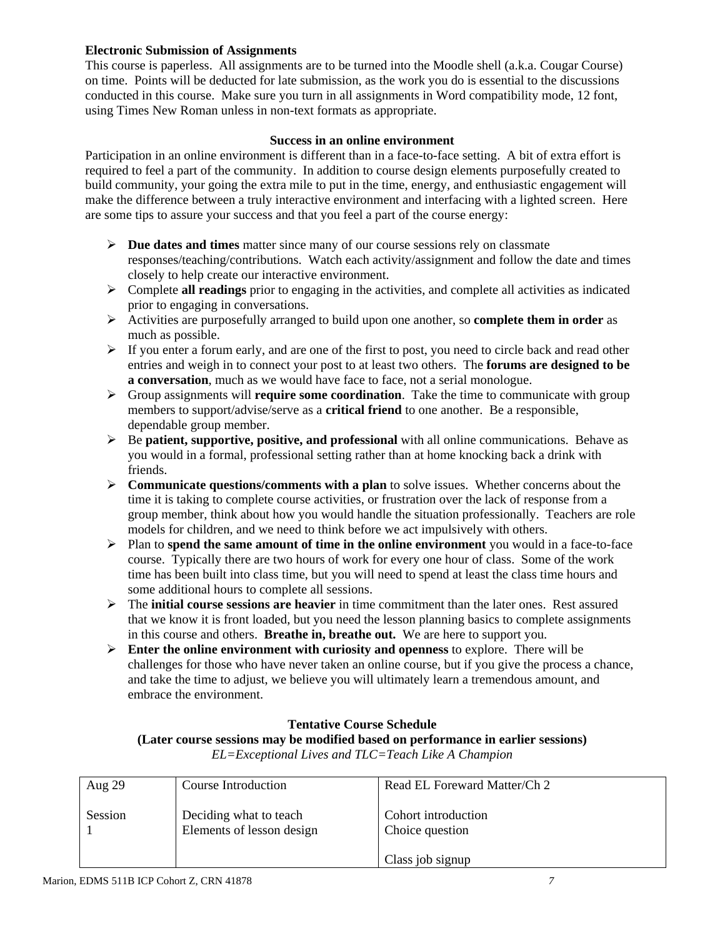## **Electronic Submission of Assignments**

This course is paperless. All assignments are to be turned into the Moodle shell (a.k.a. Cougar Course) on time. Points will be deducted for late submission, as the work you do is essential to the discussions conducted in this course. Make sure you turn in all assignments in Word compatibility mode, 12 font, using Times New Roman unless in non-text formats as appropriate.

### **Success in an online environment**

Participation in an online environment is different than in a face-to-face setting. A bit of extra effort is required to feel a part of the community. In addition to course design elements purposefully created to build community, your going the extra mile to put in the time, energy, and enthusiastic engagement will make the difference between a truly interactive environment and interfacing with a lighted screen. Here are some tips to assure your success and that you feel a part of the course energy:

- **Due dates and times** matter since many of our course sessions rely on classmate responses/teaching/contributions. Watch each activity/assignment and follow the date and times closely to help create our interactive environment.
- $\triangleright$  Complete **all readings** prior to engaging in the activities, and complete all activities as indicated prior to engaging in conversations.
- Activities are purposefully arranged to build upon one another, so **complete them in order** as much as possible.
- $\triangleright$  If you enter a forum early, and are one of the first to post, you need to circle back and read other entries and weigh in to connect your post to at least two others. The **forums are designed to be a conversation**, much as we would have face to face, not a serial monologue.
- Group assignments will **require some coordination**. Take the time to communicate with group members to support/advise/serve as a **critical friend** to one another. Be a responsible, dependable group member.
- Be **patient, supportive, positive, and professional** with all online communications. Behave as you would in a formal, professional setting rather than at home knocking back a drink with friends.
- **Communicate questions/comments with a plan** to solve issues. Whether concerns about the time it is taking to complete course activities, or frustration over the lack of response from a group member, think about how you would handle the situation professionally. Teachers are role models for children, and we need to think before we act impulsively with others.
- $\triangleright$  Plan to **spend the same amount of time in the online environment** you would in a face-to-face course. Typically there are two hours of work for every one hour of class. Some of the work time has been built into class time, but you will need to spend at least the class time hours and some additional hours to complete all sessions.
- The **initial course sessions are heavier** in time commitment than the later ones. Rest assured that we know it is front loaded, but you need the lesson planning basics to complete assignments in this course and others. **Breathe in, breathe out.** We are here to support you.
- Enter the online environment with curiosity and openness to explore. There will be challenges for those who have never taken an online course, but if you give the process a chance, and take the time to adjust, we believe you will ultimately learn a tremendous amount, and embrace the environment.

## **Tentative Course Schedule**

## **(Later course sessions may be modified based on performance in earlier sessions)**

*EL=Exceptional Lives and TLC=Teach Like A Champion* 

| Aug $29$ | Course Introduction                                 | Read EL Foreward Matter/Ch 2           |
|----------|-----------------------------------------------------|----------------------------------------|
| Session  | Deciding what to teach<br>Elements of lesson design | Cohort introduction<br>Choice question |
|          |                                                     | Class job signup                       |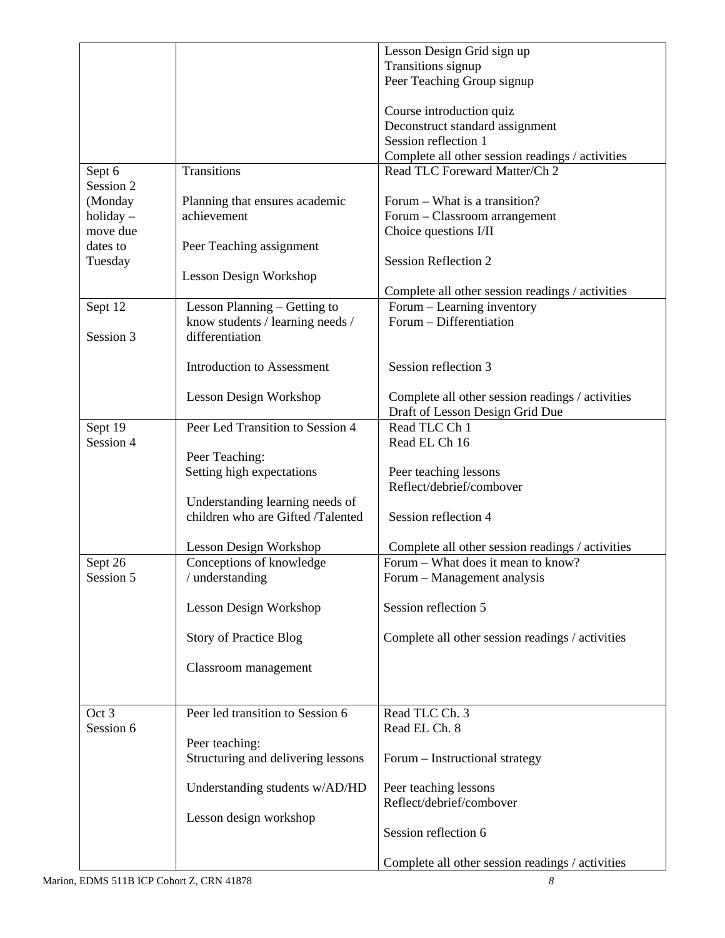|                      |                                                                      | Lesson Design Grid sign up                        |
|----------------------|----------------------------------------------------------------------|---------------------------------------------------|
|                      |                                                                      | Transitions signup                                |
|                      |                                                                      | Peer Teaching Group signup                        |
|                      |                                                                      |                                                   |
|                      |                                                                      | Course introduction quiz                          |
|                      |                                                                      | Deconstruct standard assignment                   |
|                      |                                                                      | Session reflection 1                              |
|                      |                                                                      | Complete all other session readings / activities  |
| Sept 6               | Transitions                                                          | Read TLC Foreward Matter/Ch 2                     |
| Session 2            |                                                                      |                                                   |
| (Monday              | Planning that ensures academic                                       | Forum – What is a transition?                     |
| $holding-$           | achievement                                                          | Forum - Classroom arrangement                     |
| move due             |                                                                      | Choice questions I/II                             |
| dates to             | Peer Teaching assignment                                             |                                                   |
| Tuesday              |                                                                      | <b>Session Reflection 2</b>                       |
|                      | Lesson Design Workshop                                               |                                                   |
|                      |                                                                      | Complete all other session readings / activities  |
| Sept 12              | Lesson Planning - Getting to                                         | Forum – Learning inventory                        |
|                      | know students / learning needs /                                     | Forum - Differentiation                           |
| Session 3            | differentiation                                                      |                                                   |
|                      |                                                                      |                                                   |
|                      | <b>Introduction to Assessment</b>                                    | Session reflection 3                              |
|                      |                                                                      |                                                   |
|                      |                                                                      |                                                   |
|                      | Lesson Design Workshop                                               | Complete all other session readings / activities  |
|                      |                                                                      | Draft of Lesson Design Grid Due<br>Read TLC Ch 1  |
| Sept 19<br>Session 4 | Peer Led Transition to Session 4                                     |                                                   |
|                      |                                                                      | Read EL Ch 16                                     |
|                      | Peer Teaching:                                                       |                                                   |
|                      | Setting high expectations                                            | Peer teaching lessons<br>Reflect/debrief/combover |
|                      |                                                                      |                                                   |
|                      | Understanding learning needs of<br>children who are Gifted /Talented |                                                   |
|                      |                                                                      | Session reflection 4                              |
|                      |                                                                      |                                                   |
|                      | Lesson Design Workshop                                               | Complete all other session readings / activities  |
| Sept 26              | Conceptions of knowledge                                             | Forum – What does it mean to know?                |
| Session 5            | / understanding                                                      | Forum – Management analysis                       |
|                      |                                                                      |                                                   |
|                      | Lesson Design Workshop                                               | Session reflection 5                              |
|                      |                                                                      |                                                   |
|                      | <b>Story of Practice Blog</b>                                        | Complete all other session readings / activities  |
|                      |                                                                      |                                                   |
|                      | Classroom management                                                 |                                                   |
|                      |                                                                      |                                                   |
|                      |                                                                      |                                                   |
| Oct 3                | Peer led transition to Session 6                                     | Read TLC Ch. 3                                    |
| Session 6            |                                                                      | Read EL Ch. 8                                     |
|                      | Peer teaching:                                                       |                                                   |
|                      | Structuring and delivering lessons                                   | Forum - Instructional strategy                    |
|                      |                                                                      |                                                   |
|                      | Understanding students w/AD/HD                                       | Peer teaching lessons                             |
|                      |                                                                      | Reflect/debrief/combover                          |
|                      | Lesson design workshop                                               |                                                   |
|                      |                                                                      | Session reflection 6                              |
|                      |                                                                      |                                                   |
|                      |                                                                      | Complete all other session readings / activities  |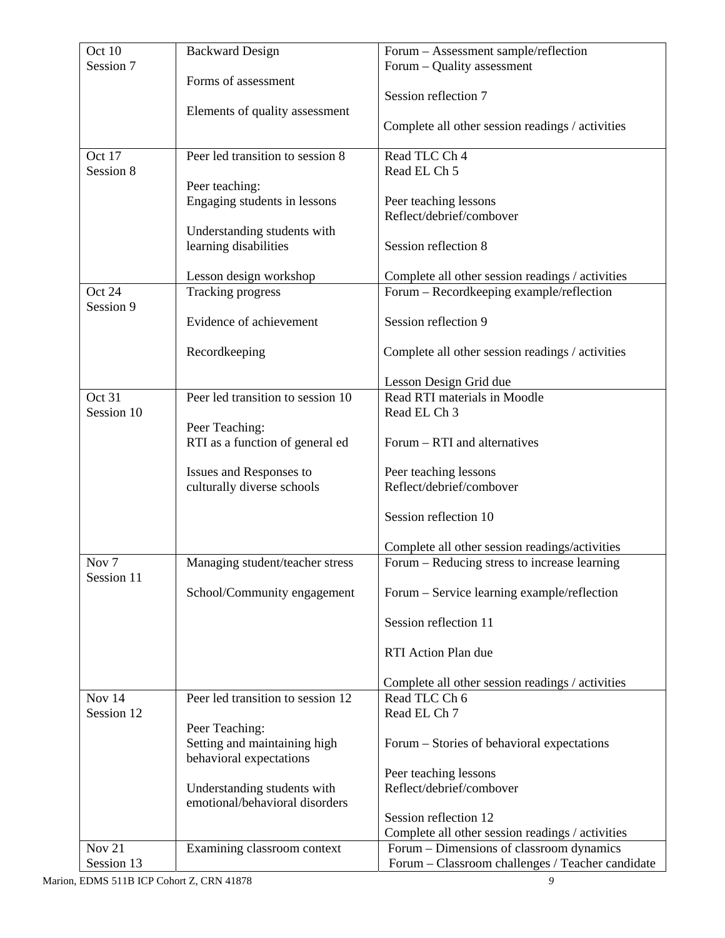| Oct 10           | <b>Backward Design</b>            | Forum - Assessment sample/reflection                                                         |
|------------------|-----------------------------------|----------------------------------------------------------------------------------------------|
| Session 7        |                                   | Forum – Quality assessment                                                                   |
|                  | Forms of assessment               |                                                                                              |
|                  |                                   | Session reflection 7                                                                         |
|                  | Elements of quality assessment    |                                                                                              |
|                  |                                   | Complete all other session readings / activities                                             |
| Oct 17           | Peer led transition to session 8  | Read TLC Ch 4                                                                                |
| Session 8        |                                   | Read EL Ch 5                                                                                 |
|                  | Peer teaching:                    |                                                                                              |
|                  | Engaging students in lessons      | Peer teaching lessons                                                                        |
|                  |                                   | Reflect/debrief/combover                                                                     |
|                  | Understanding students with       |                                                                                              |
|                  | learning disabilities             | Session reflection 8                                                                         |
|                  |                                   |                                                                                              |
|                  | Lesson design workshop            | Complete all other session readings / activities                                             |
| Oct 24           | <b>Tracking progress</b>          | Forum – Recordkeeping example/reflection                                                     |
| Session 9        | Evidence of achievement           | Session reflection 9                                                                         |
|                  |                                   |                                                                                              |
|                  | Recordkeeping                     | Complete all other session readings / activities                                             |
|                  |                                   |                                                                                              |
|                  |                                   | Lesson Design Grid due                                                                       |
| Oct 31           | Peer led transition to session 10 | Read RTI materials in Moodle                                                                 |
| Session 10       |                                   | Read EL Ch 3                                                                                 |
|                  | Peer Teaching:                    |                                                                                              |
|                  | RTI as a function of general ed   | Forum – RTI and alternatives                                                                 |
|                  | Issues and Responses to           | Peer teaching lessons                                                                        |
|                  | culturally diverse schools        | Reflect/debrief/combover                                                                     |
|                  |                                   |                                                                                              |
|                  |                                   | Session reflection 10                                                                        |
|                  |                                   |                                                                                              |
|                  |                                   | Complete all other session readings/activities                                               |
| Nov <sub>7</sub> | Managing student/teacher stress   | Forum – Reducing stress to increase learning                                                 |
| Session 11       |                                   |                                                                                              |
|                  | School/Community engagement       | Forum – Service learning example/reflection                                                  |
|                  |                                   |                                                                                              |
|                  |                                   | Session reflection 11                                                                        |
|                  |                                   | RTI Action Plan due                                                                          |
|                  |                                   |                                                                                              |
|                  |                                   | Complete all other session readings / activities                                             |
| Nov $14$         | Peer led transition to session 12 | Read TLC Ch 6                                                                                |
| Session 12       |                                   | Read EL Ch 7                                                                                 |
|                  | Peer Teaching:                    |                                                                                              |
|                  | Setting and maintaining high      | Forum – Stories of behavioral expectations                                                   |
|                  | behavioral expectations           |                                                                                              |
|                  |                                   | Peer teaching lessons                                                                        |
|                  | Understanding students with       | Reflect/debrief/combover                                                                     |
|                  | emotional/behavioral disorders    | Session reflection 12                                                                        |
|                  |                                   |                                                                                              |
| <b>Nov 21</b>    | Examining classroom context       | Complete all other session readings / activities<br>Forum – Dimensions of classroom dynamics |
| Session 13       |                                   | Forum - Classroom challenges / Teacher candidate                                             |